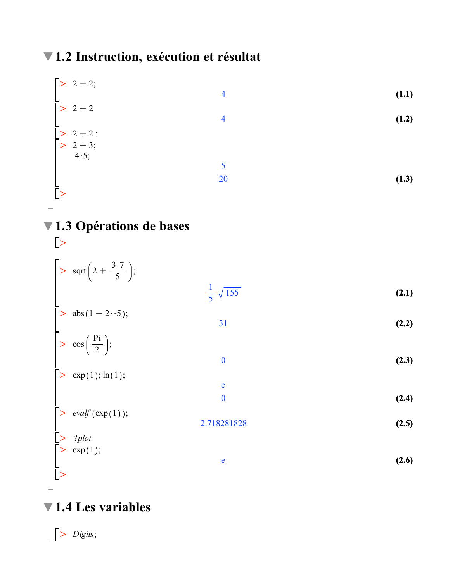## 71.2 Instruction, exécution et résultat

| $> 2 + 2;$                                                                                  |                |       |
|---------------------------------------------------------------------------------------------|----------------|-------|
|                                                                                             | $\overline{4}$ | (1.1) |
| $\overline{}$ > 2 + 2                                                                       |                |       |
|                                                                                             | $\overline{4}$ | (1.2) |
|                                                                                             |                |       |
| $\begin{array}{c} \n \begin{bmatrix} 2+2 \\ 2+3 \\ 4 \cdot 5 \end{bmatrix} \\  \end{array}$ |                |       |
|                                                                                             |                |       |
|                                                                                             | 5              |       |
|                                                                                             | 20             | (1.3) |
| Ĕ.                                                                                          |                |       |
|                                                                                             |                |       |

### 1.3 Opérations de bases  $\bar{\triangleright}$

| $\left  \text{ } > \text{ sqrt}\left(2 + \frac{3 \cdot 7}{5}\right)\right $                                                                                                                                                     |                            |       |
|---------------------------------------------------------------------------------------------------------------------------------------------------------------------------------------------------------------------------------|----------------------------|-------|
|                                                                                                                                                                                                                                 | $\frac{1}{5}$ $\sqrt{155}$ | (2.1) |
| $\begin{array}{ll} \n\begin{array}{ll}\n> & \text{abs} (1 - 2 \cdot \cdot 5); \\ \end{array} \\ \begin{array}{ll}\n\begin{array}{ll}\n\text{cos} \left( \frac{\text{Pi}}{2} \right); \\ \end{array}\n\end{array} \n\end{array}$ | 31                         | (2.2) |
|                                                                                                                                                                                                                                 | $\mathbf{0}$               | (2.3) |
| $\ge$ exp(1); $\ln(1)$ ;                                                                                                                                                                                                        |                            |       |
|                                                                                                                                                                                                                                 | $\mathbf e$                |       |
|                                                                                                                                                                                                                                 | $\bf{0}$                   | (2.4) |
| $\bigg\vert > \text{ evalf}(\exp(1));$                                                                                                                                                                                          | 2.718281828                | (2.5) |
|                                                                                                                                                                                                                                 |                            |       |
| $\sum_{i=1}^{n} \frac{2 \text{plot}}{(\text{exp}(1))};$                                                                                                                                                                         | e                          | (2.6) |
|                                                                                                                                                                                                                                 |                            |       |

# $\P$  1.4 Les variables

 $\left| > \text{ Digits} \right|$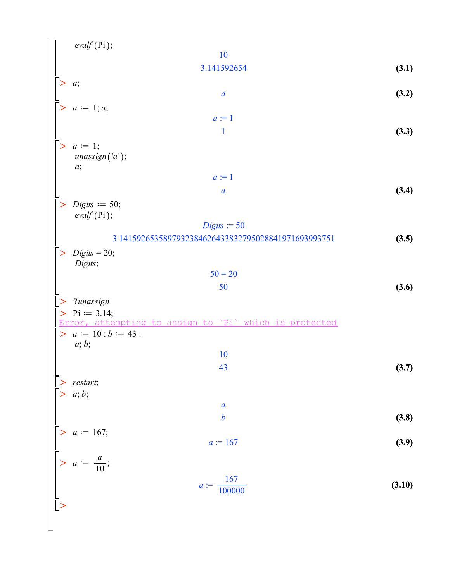| <i>evalf</i> (Pi);                         | 10      |                                                   |       |       |
|--------------------------------------------|---------|---------------------------------------------------|-------|-------|
| > a;                                       | a       | (3.1)                                             |       |       |
| > a := 1; a;                               | a       | (3.2)                                             |       |       |
| > a := 1;                                  | a       | (3.3)                                             |       |       |
| > a := 1;                                  | a       | (3.4)                                             |       |       |
| > a := 1;                                  | a       | (3.5)                                             |       |       |
| > Digits := 50;                            | 0;      | 0;                                                | 0;    | (3.6) |
| > Digits := 20;                            | 50 = 20 | 50                                                | (3.6) |       |
| > 2                                        | 2       | 3145926535897932384626433832795028841971693993751 | (3.5) |       |
| > Digits = 20;                             | 50 = 20 | 50                                                | (3.6) |       |
| > 2                                        | 2       | 2                                                 | 314;  |       |
| > Error, <i>a</i> t = 10; <i>b</i> := 43 : | 10      | 43                                                | (3.7) |       |
| > restart;                                 | a       | a                                                 | b     | (3.8) |
| > a := 167;                                | a       | a                                                 | 5     |       |
| > a := 167;                                | a       | 6                                                 | (3.8) |       |
| > a := $\frac{a}{10}$ ;                    | a       | 167                                               | (3.9) |       |
| > a := $\frac{a}{10}$ ;                    | a       | 16                                                |       |       |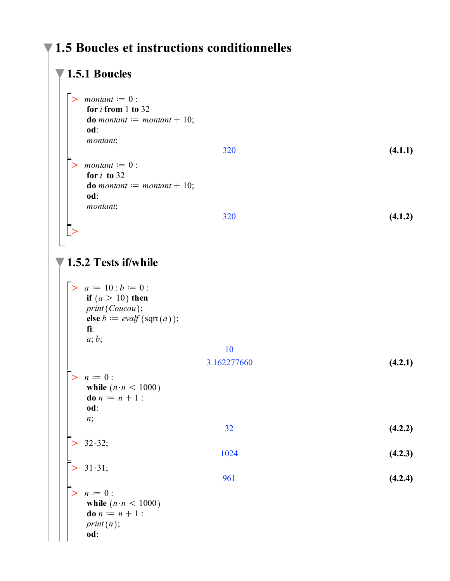#### $\blacktriangledown$  1.5 Boucles et instructions conditionnelles

#### $\blacktriangledown$  1.5.1 Boucles  $>$  montant  $:= 0$  : for  $i$  from 1 to 32 **do** montant  $:=$  montant  $+10$ ; od: montant;  $(4.1.1)$ 320  $>$  montant  $:= 0$  : for  $i$  to 32 **do** montant  $:=$  montant  $+10$ ;  $od:$ montant; 320  $(4.1.2)$  $\vert$   $>$  $\blacktriangledown$  1.5.2 Tests if/while >  $a := 10 : b := 0$ : if  $(a > 10)$  then  $print(Coucou);$ else  $b := evalf$  (sqrt(a)); fi:  $a; b;$ 10 3.162277660  $(4.2.1)$  $> n := 0$ : while  $(n \cdot n < 1000)$ **do**  $n := n + 1$ : od:  $n;$  $(4.2.2)$  $32$  $32.32;$ 1024  $(4.2.3)$  $31 \cdot 31;$ 961  $(4.2.4)$  $> n := 0$ : while  $(n \cdot n < 1000)$ **do**  $n := n + 1$ :  $print(n);$ od: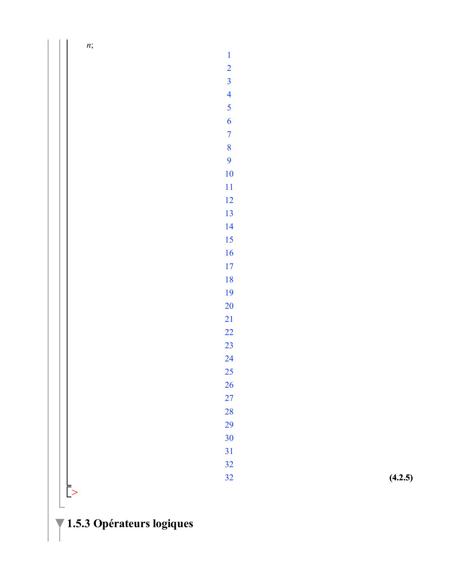*n* ;

#### **(4.2.5)**

 $\mathbf{1}$  $\overline{2}$  $\overline{\mathbf{3}}$  $\overline{4}$  $\overline{5}$  $\overline{6}$  $\overline{7}$ 

OO \_ً ∑

**1.5.3 Opérateurs logiques**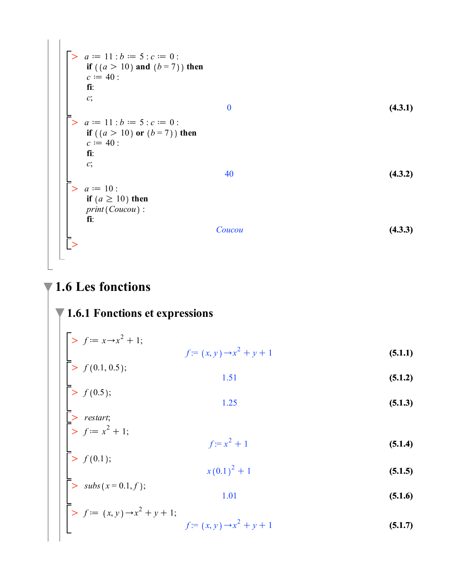$$
\begin{bmatrix}\n> a := 11 : b := 5 : c := 0 : \\
 \text{if } ((a > 10) \text{ and } (b = 7)) \text{ then} \\
 c := 40 : \\
 \text{fi:} \\
 c; \\
 c; \\
 \text{if } ((a > 10) \text{ or } (b = 7)) \text{ then} \\
 c := 40 : \\
 \text{fi:} \\
 c; \\
 c; \\
 \text{fi:} \\
 c; \\
 c; \\
 \text{fi:} \\
 c; \\
 c; \\
 \text{fi:} \\
 c; \\
 \text{fi:} \\
 c; \\
 \text{fi:} \\
 c; \\
 \text{fi:} \\
 c; \\
 \text{fi:} \\
 c; \\
 \text{fi:} \\
 c; \\
 \text{fi:} \\
 c; \\
 \text{fi:} \\
 c; \\
 \text{fi:} \\
 c; \\
 \text{fi:} \\
 c; \\
 \text{fi:} \\
 c; \\
 \text{fi:} \\
 c; \\
 \text{fi:} \\
 c; \\
 \text{fi:} \\
 c; \\
 \text{fi:} \\
 c; \\
 \text{fi:} \\
 c; \\
 \text{fi:} \\
 c; \\
 \text{fi:} \\
 c; \\
 \text{fi:} \\
 c; \\
 \text{fi:} \\
 c; \\
 \text{fi:} \\
 c; \\
 \text{fi:} \\
 c; \\
 \text{fi:} \\
 c; \\
 \text{fi:} \\
 c; \\
 \text{fi:} \\
 c; \\
 \text{fi:} \\
 c; \\
 \text{fi:} \\
 c; \\
 \text{fi:} \\
 c; \\
 \text{fi:} \\
 c; \\
 \text{fi:} \\
 c; \\
 \text{fi:} \\
 c; \\
 \text{fi:} \\
 c; \\
 \text{fi:} \\
 c; \\
 \text{fi:} \\
 c; \\
 \text{fi:} \\
 c; \\
 \text{fi:} \\
 c; \\
 \text{fi:} \\
 c; \\
 \text{fi:} \\
 c; \\
 \text{fi:} \\
 c; \\
 \text{fi:} \\
 c; \\
 \text{fi:} \\
 c; \\
 \text{fi:} \\
 c; \\
 \text{fi:} \\
 c; \\
 \text{fi:} \\
 c; \\
 \text{fi:} \\
 c; \\
 \text{fi:} \\
 c; \\
 \text{fi:} \\
 c; \\
 \text{fi:} \\
 c; \\
 \text{fi:} \\
 c; \\
 \text{fi:} \\
 c; \\
 \text{fi:} \\
 c; \\
 \text{fi:} \\
 c; \\
 \text{fi:} \\
 c; \\
 \text{fi:} \\
 c; \\
 \text{fi:} \\
 c; \\
 \text{fi:} \\
 c; \\
 \text{fi:} \\
 c; \\
 \text{fi:} \\
 c; \\
 \text{fi:} \\
 c; \\
 \text{fi:} \\
 c; \\
 \text{fi:} \\
 c; \\
 \
$$

$$
\blacktriangledown
$$
 1.6 Les fonctions

 $\sqrt{1.6.1}$  Fonctions et expressions

$$
\begin{bmatrix}\n> f := x \rightarrow x^2 + 1; & & \\
\hline\nf := (x, y) \rightarrow x^2 + y + 1 & \\
\hline\n\ge f(0.1, 0.5); & & \\
\hline\n1.51 & & & \\
\end{bmatrix}
$$
\n(5.1.1)

- 1.51  $(5.1.2)$
- $1.25$  $(5.1.3)$

$$
f(0.5);
$$
\n
$$
1.25
$$
\n
$$
f(0.5);
$$
\n
$$
1.25
$$
\n
$$
f := x^2 + 1;
$$
\n
$$
f := x^2 + 1
$$
\n(5.1.4)

 $f(0.1);$  $x(0.1)^2 + 1$  $(5.1.5)$ 

$$
\begin{bmatrix}\n\frac{1}{2} & \text{subs} \, (x = 0.1, f);\n\end{bmatrix}
$$
\n
$$
\begin{bmatrix}\n\text{5.1.6}\n\end{bmatrix}
$$
\n
$$
\begin{bmatrix}\n\text{5.1.7}\n\end{bmatrix}
$$
\n
$$
f := (x, y) \rightarrow x^2 + y + 1;
$$
\n
$$
f := (x, y) \rightarrow x^2 + y + 1
$$
\n
$$
\begin{bmatrix}\n\text{5.1.7}\n\end{bmatrix}
$$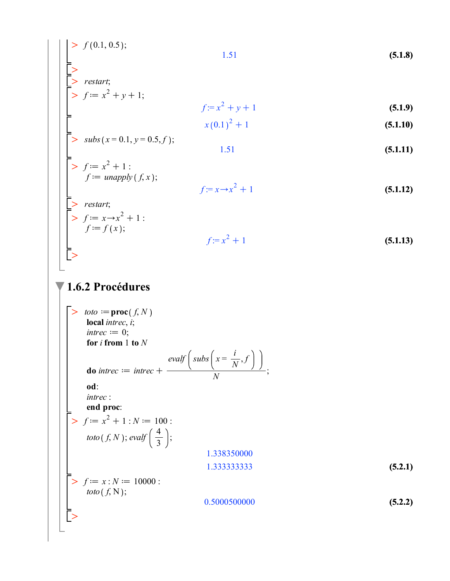$$
\begin{array}{|c|c|c|}\n\hline\n> & f(0.1, 0.5); & & & & & & \\
\hline\n> & & & & & & & \\
\hline\n> & & & & & & & \\
\hline\n> & & & & & & & \\
\hline\n> & & & & & & & \\
\hline\n> & & & & & & & \\
\hline\n> & & & & & & & & \\
\hline\n> & & & & & & & & \\
\hline\n> & & & & & & & & & \\
\hline\n\end{array}
$$
\n(5.1.8)  
\n
$$
f := x^2 + y + 1
$$
\n(5.1.9)  
\n
$$
x(0.1)^2 + 1
$$
\n(5.1.10)

$$
\begin{bmatrix} > & subs(x = 0.1, y = 0.5, f); \\ 1.51 \end{bmatrix}
$$
 (5.1.11)

>> 
$$
f := x^2 + 1
$$
:  
\n $f := \text{unapply}(f, x);$   
\n $f := x \to x^2 + 1$  (5.1.12)

$$
\begin{aligned}\n&> \text{ restart;} \\
&> f := x \to x^2 + 1: \\
&f := f(x); \\
&f := x^2 + 1\n\end{aligned}
$$
\n(5.1.13)

#### $\blacktriangledown$  1.6.2 Procédures

> *toto* := **proc**(*f, N*)  
\n**local** *interce*, *i*;  
\n*interce* := 0;  
\n**for** *i* **from** 1 **to** *N*  
\n**do** *interce* := *interce* + 
$$
\frac{evalf(suls(x = \frac{i}{N}, f)}{N};
$$
\n**od**:  
\n*interce*:  
\n**end proc**:  
\n>  $f := x^2 + 1 : N := 100 :$   
\n*toto*(*f, N*); *evalf*( $\frac{4}{3}$ );  
\n1.338350000  
\n1.338350000  
\n1.333333333  
\n**(5.2.1)**  
\n**1.338350000**  
\n1.333333333  
\n**(5.2.1)**  
\n**(5.2.2)**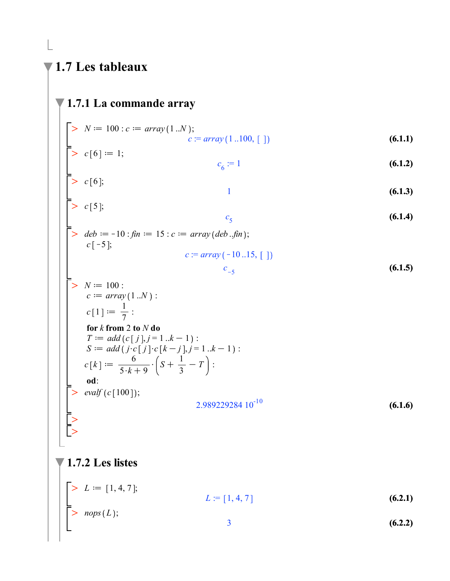### 1.7 Les tableaux

# $\sqrt{1.7.1}$  La commande array >  $N := 100 : c := array(1..N);$ <br>  $c := array(1..100, [1])$ <br>
>  $c[6] := 1;$ <br>  $c_6 := 1$ <br>
>  $c[6];$  $(6.1.1)$  $(6.1.2)$  $\mathbf{1}$  $(6.1.3)$  $\bar{>}$  c[5];  $(6.1.4)$  $c<sub>5</sub>$ > deb := -10 : fin := 15 : c := array (deb ..fin);<br>
c[-5];  $c := array(-10..15, [$ ]  $(6.1.5)$  $c_{-5}$ >  $N := 100$ :<br>  $c := array(1..N)$ :<br>  $c[1] := \frac{1}{7}$ : for  $k$  from 2 to  $N$  do  $T := add(c[j], j = 1..k - 1)$ : S :=  $add(j \cdot c[j] \cdot c[k-j], j=1..k-1)$ :<br>  $c[k] := \frac{6}{5 \cdot k + 9} \cdot (S + \frac{1}{3} - T)$ : od:  $> \text{evalf}(c[100]);$  $2.98922928410^{-10}$  $(6.1.6)$ 1.7.2 Les listes

$$
L := [1, 4, 7];
$$
  
\n> 
$$
L = [1, 4, 7]
$$
  
\n
$$
L := [1, 4, 7]
$$
  
\n(6.2.1)  
\n(6.2.2)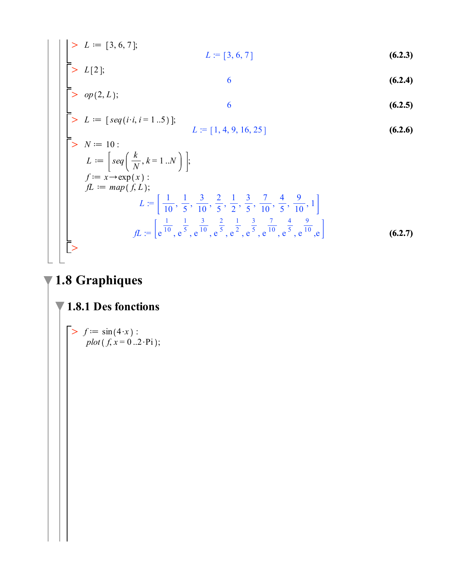>> 
$$
L := [3, 6, 7]
$$
;  
\n>>  $L[2]$ ;  
\n>>  $op(2, L)$ ;  
\n>>  $op(2, L)$ ;  
\n $L := [seq(i \cdot i, i = 1..5)]$ ;  
\n $L = [1, 4, 9, 16, 25]$  (6.2.6)  
\n $L := [seq\left(\frac{k}{N}, k = 1..N\right)]$ ;  
\n $f := x \rightarrow \exp(x)$ ;  
\n $L := \left[\frac{1}{10}, \frac{1}{5}, \frac{3}{10}, \frac{2}{5}, \frac{1}{2}, \frac{3}{5}, \frac{7}{10}, \frac{4}{5}, \frac{9}{10}, 1\right]$   
\n $L = \left[\frac{1}{10}, \frac{1}{5}, \frac{3}{10}, \frac{2}{5}, \frac{1}{2}, \frac{3}{5}, \frac{7}{10}, \frac{4}{5}, \frac{9}{10}, 1\right]$   
\n $f = \left[e^{\frac{1}{10}}, e^{\frac{1}{5}}, e^{\frac{3}{10}}, e^{\frac{2}{5}}, e^{\frac{1}{2}}, e^{\frac{3}{5}}, e^{\frac{7}{10}}, e^{\frac{4}{5}}, e^{\frac{9}{10}}, e^{\frac{1}{5}}\right]$  (6.2.7)

# $\P$  1.8 Graphiques

### $\blacktriangledown$  1.8.1 Des fonctions

>> 
$$
f := sin(4 \cdot x)
$$
 :  
plot  $(f, x = 0..2 \cdot Pi)$ ;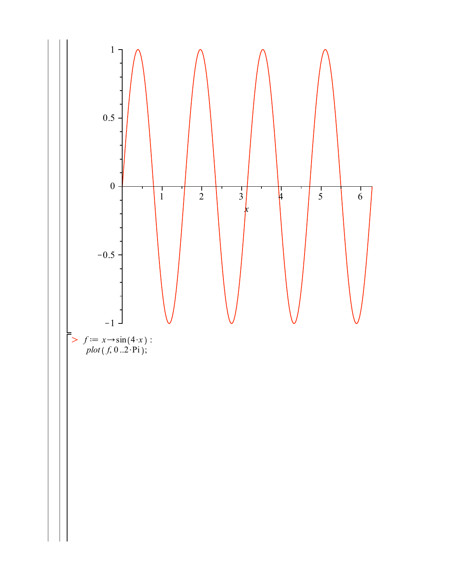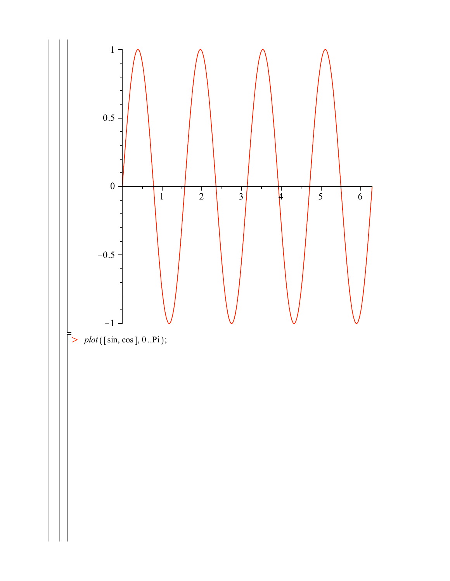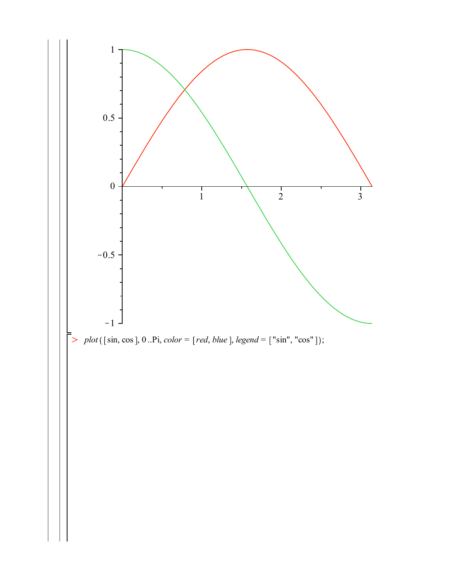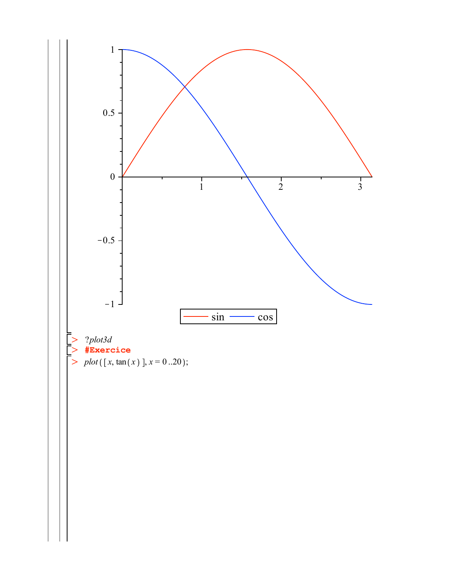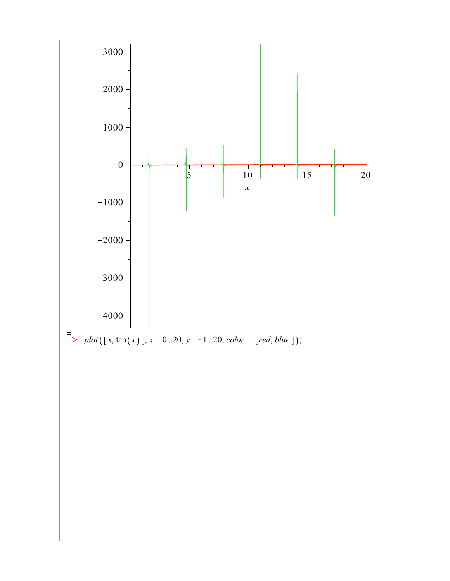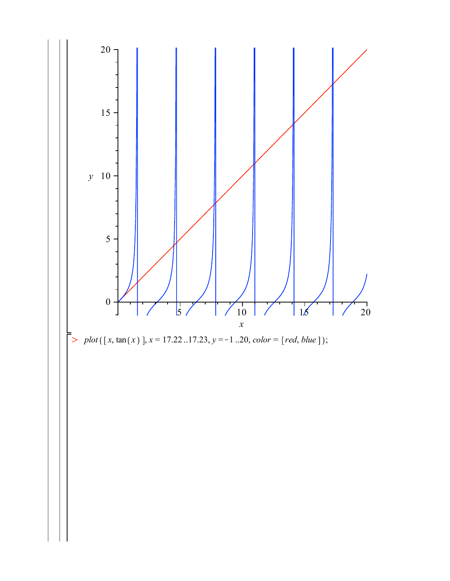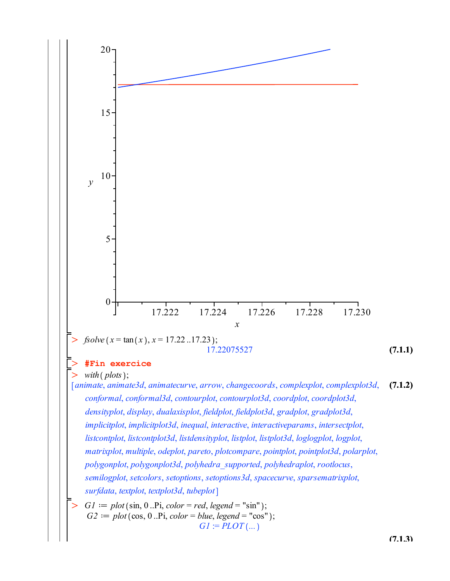

**(7.1.3)**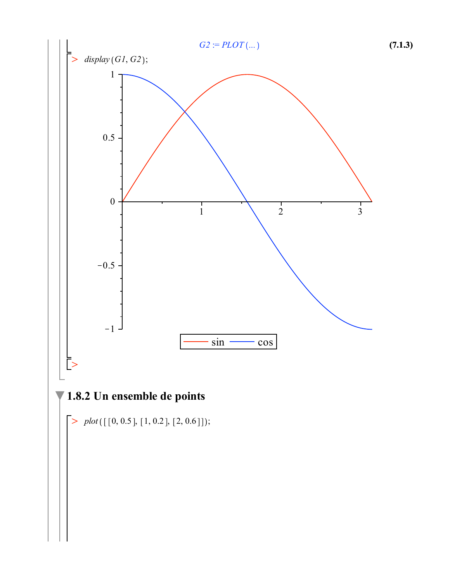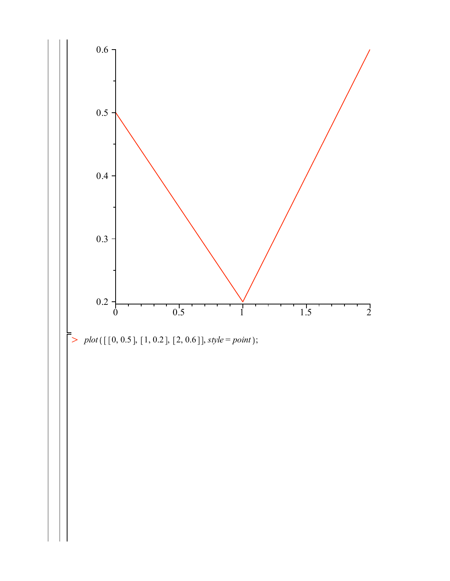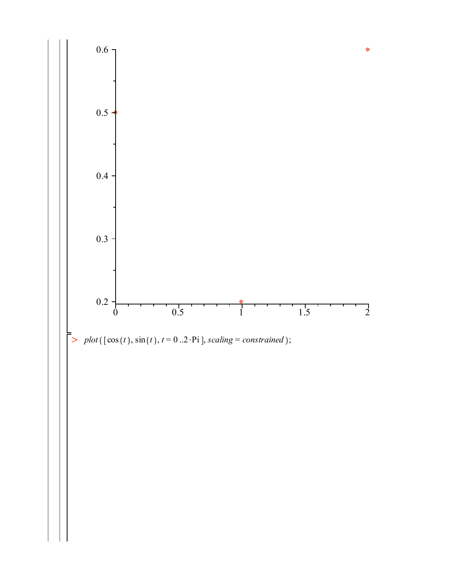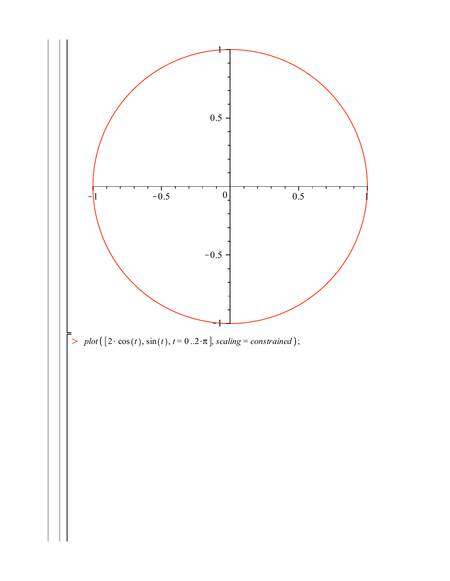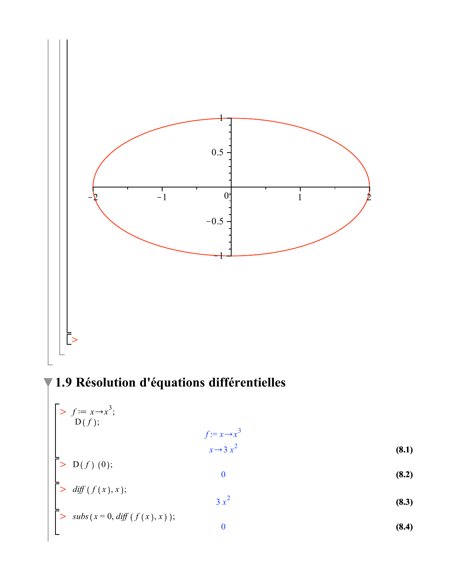

71.9 Résolution d'équations différentielles

$$
\begin{bmatrix}\n> f := x \rightarrow x^3; \\
D(f); & f := x \rightarrow x^3 \\
& x \rightarrow 3 x^2\n\end{bmatrix}
$$
\n(8.1)  
\n
$$
\begin{bmatrix}\n> D(f) (0); & 0 \\
\ge \text{diff}(f(x), x); & 3 x^2\n\end{bmatrix}
$$
\n(8.2)  
\n
$$
\begin{bmatrix}\n> \text{subs}(x = 0, \text{diff}(f(x), x)); & 3 x^2\n\end{bmatrix}
$$
\n(8.3)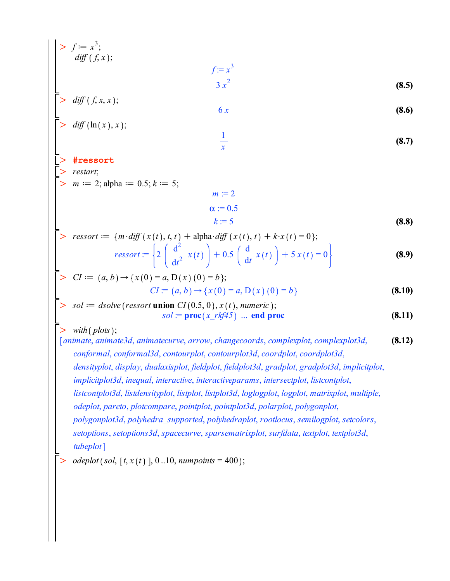$$
\begin{vmatrix}\n> f := x^3; & f := x^3; & \\
& diff(f, x); & f := x^3\n\end{vmatrix}
$$
\n(8.5)  
\n
$$
\begin{vmatrix}\n> diff(f, x, x); & 6x & (8.6)\n\end{vmatrix}
$$
\n
$$
\begin{vmatrix}\n> diff(\ln(x), x); & \frac{1}{x} & (8.7)\n\end{vmatrix}
$$
\n
$$
\begin{vmatrix}\n> \text{#ressort} \\
> m := 2; \text{ alpha} := 0.5; k := 5; & n := 2 \\
& a := 0.5 \\
> \text{ressort} := (m \cdot \text{diff}(x(t), t, t) + \text{alpha} \cdot \text{diff}(x(t), t) + k \cdot x(t) = 0); & \text{ressort} := (n \cdot \text{diff}(x(t), t) + 0.5 \cdot \text{diff}(x(t)) + 5 \cdot x(t) = 0) \\
> \text{ressort} := \left\{2 \left(\frac{d^2}{dt^2} x(t)\right) + 0.5 \left(\frac{d}{dt} x(t)\right) + 5 \cdot x(t) = 0\right\}\right\}
$$
\n(8.9)  
\n
$$
\begin{vmatrix}\n> CI := (a, b) \rightarrow (x(0) = a, D(x)(0) = b; & CI := (a, b) \rightarrow (x(0) = a, D(x)(0) = b) \\
> sd := \text{double}(\text{resort union} \cdot G)(x, c) \cdot x(t), \text{number}(c); & \text{order}(\cdot G)(x(t), \text{number}(c)) \cdot \text{sum} \cdot \text{diff}(x(t), t) = \text{prob}(x(t), t) \cdot \text{sum} \cdot \text{diff}(x(t), t) = \text{prob}(x(t), t) \cdot \text{sum} \cdot \text{diff}(x(t), t) = \text{prob}(x(t), t) \cdot \text{sum} \cdot \text{diff}(x(t), t) = \text{prob}(x(t), t) \cdot \text{sum} \cdot \text{diff}(x(t), t) = \text{prob}(x(t), t) \cdot \text{sum} \cdot \text{diff}(x(t), t) = \text{prob}(x(t), t) \cdot \text{sum} \cdot \text{diag}(x(t), t) = \text{prob}(x(t), t) \cdot \text{sum} \cdot \text{diag}(x(t), t
$$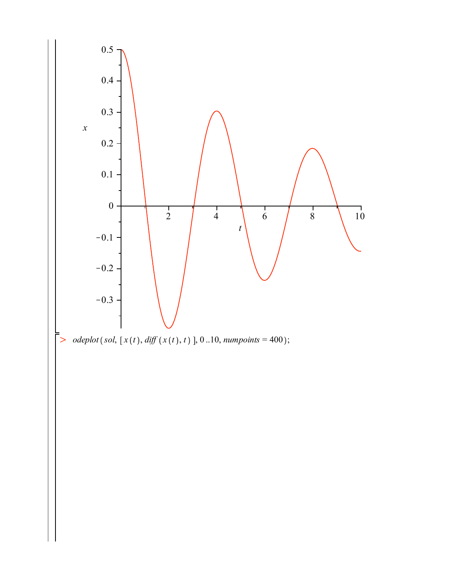